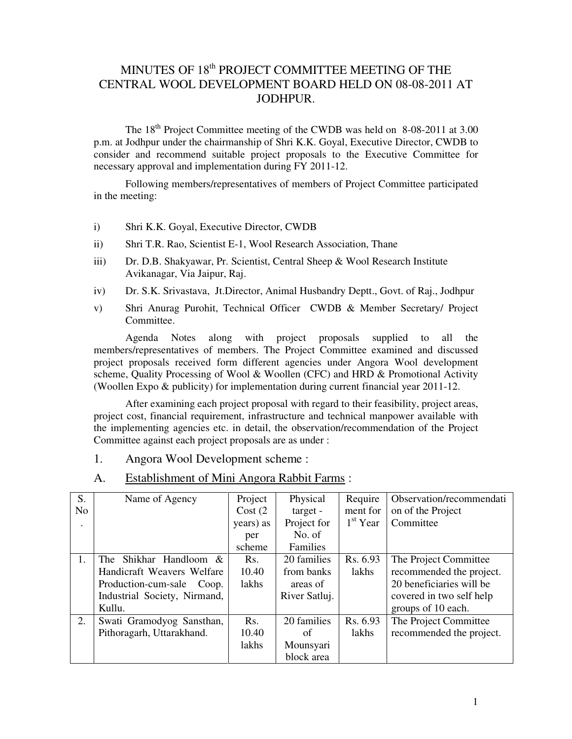### MINUTES OF 18<sup>th</sup> PROJECT COMMITTEE MEETING OF THE CENTRAL WOOL DEVELOPMENT BOARD HELD ON 08-08-2011 AT JODHPUR.

The 18<sup>th</sup> Project Committee meeting of the CWDB was held on 8-08-2011 at 3.00 p.m. at Jodhpur under the chairmanship of Shri K.K. Goyal, Executive Director, CWDB to consider and recommend suitable project proposals to the Executive Committee for necessary approval and implementation during FY 2011-12.

 Following members/representatives of members of Project Committee participated in the meeting:

- i) Shri K.K. Goyal, Executive Director, CWDB
- ii) Shri T.R. Rao, Scientist E-1, Wool Research Association, Thane
- iii) Dr. D.B. Shakyawar, Pr. Scientist, Central Sheep & Wool Research Institute Avikanagar, Via Jaipur, Raj.
- iv) Dr. S.K. Srivastava, Jt.Director, Animal Husbandry Deptt., Govt. of Raj., Jodhpur
- v) Shri Anurag Purohit, Technical Officer CWDB & Member Secretary/ Project Committee.

 Agenda Notes along with project proposals supplied to all the members/representatives of members. The Project Committee examined and discussed project proposals received form different agencies under Angora Wool development scheme, Quality Processing of Wool & Woollen (CFC) and HRD & Promotional Activity (Woollen Expo & publicity) for implementation during current financial year 2011-12.

 After examining each project proposal with regard to their feasibility, project areas, project cost, financial requirement, infrastructure and technical manpower available with the implementing agencies etc. in detail, the observation/recommendation of the Project Committee against each project proposals are as under :

- 1. Angora Wool Development scheme :
- A. Establishment of Mini Angora Rabbit Farms :

| S.             | Name of Agency               | Project   | Physical      | Require    | Observation/recommendati |
|----------------|------------------------------|-----------|---------------|------------|--------------------------|
| N <sub>0</sub> |                              | Cost(2)   | target -      | ment for   | on of the Project        |
|                |                              | years) as | Project for   | $1st$ Year | Committee                |
|                |                              | per       | No. of        |            |                          |
|                |                              | scheme    | Families      |            |                          |
| 1.             | Shikhar Handloom &<br>The    | Rs.       | 20 families   | Rs. 6.93   | The Project Committee    |
|                | Handicraft Weavers Welfare   | 10.40     | from banks    | lakhs      | recommended the project. |
|                | Production-cum-sale Coop.    | lakhs     | areas of      |            | 20 beneficiaries will be |
|                | Industrial Society, Nirmand, |           | River Satluj. |            | covered in two self help |
|                | Kullu.                       |           |               |            | groups of 10 each.       |
| 2.             | Swati Gramodyog Sansthan,    | Rs.       | 20 families   | Rs. 6.93   | The Project Committee    |
|                | Pithoragarh, Uttarakhand.    | 10.40     | of            | lakhs      | recommended the project. |
|                |                              | lakhs     | Mounsyari     |            |                          |
|                |                              |           | block area    |            |                          |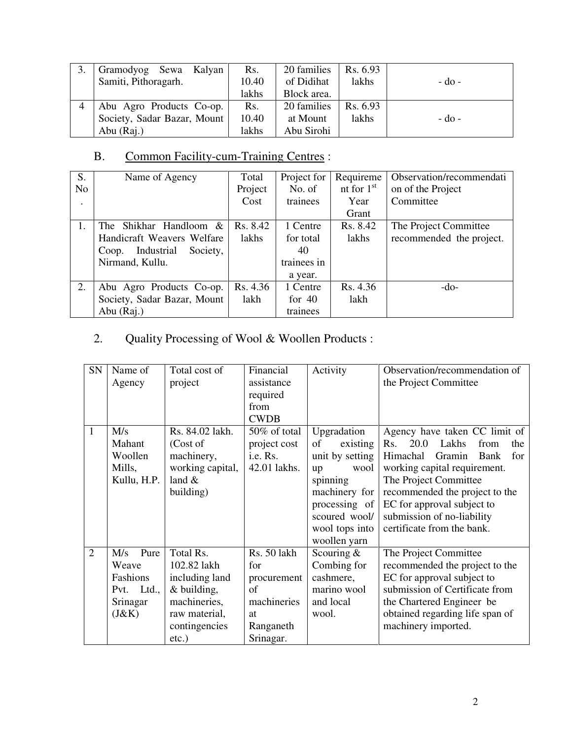| Gramodyog Sewa Kalyan       | Rs.   | 20 families | Rs. 6.93 |         |
|-----------------------------|-------|-------------|----------|---------|
| Samiti, Pithoragarh.        | 10.40 | of Didihat  | lakhs    | - do -  |
|                             | lakhs | Block area. |          |         |
| Abu Agro Products Co-op.    | Rs.   | 20 families | Rs. 6.93 |         |
| Society, Sadar Bazar, Mount | 10.40 | at Mount    | lakhs    | $-d0$ - |
| Abu (Raj.)                  | lakhs | Abu Sirohi  |          |         |

# B. Common Facility-cum-Training Centres :

| S.             | Name of Agency                  | Total    | Project for | Requireme    | Observation/recommendati |
|----------------|---------------------------------|----------|-------------|--------------|--------------------------|
| N <sub>o</sub> |                                 | Project  | No. of      | nt for $1st$ | on of the Project        |
|                |                                 | Cost     | trainees    | Year         | Committee                |
|                |                                 |          |             | Grant        |                          |
| 1.             | The Shikhar Handloom &          | Rs. 8.42 | 1 Centre    | Rs. 8.42     | The Project Committee    |
|                | Handicraft Weavers Welfare      | lakhs    | for total   | lakhs        | recommended the project. |
|                | Industrial<br>Society,<br>Coop. |          | 40          |              |                          |
|                | Nirmand, Kullu.                 |          | trainees in |              |                          |
|                |                                 |          | a year.     |              |                          |
| 2.             | Abu Agro Products Co-op.        | Rs. 4.36 | 1 Centre    | Rs. 4.36     | $-do-$                   |
|                | Society, Sadar Bazar, Mount     | lakh     | for $40$    | lakh         |                          |
|                | Abu (Raj.)                      |          | trainees    |              |                          |

## 2. Quality Processing of Wool & Woollen Products :

| SN             | Name of       | Total cost of    | Financial    | Activity        | Observation/recommendation of       |
|----------------|---------------|------------------|--------------|-----------------|-------------------------------------|
|                | Agency        | project          | assistance   |                 | the Project Committee               |
|                |               |                  | required     |                 |                                     |
|                |               |                  | from         |                 |                                     |
|                |               |                  | <b>CWDB</b>  |                 |                                     |
| $\mathbf{1}$   | M/s           | Rs. 84.02 lakh.  | 50% of total | Upgradation     | Agency have taken CC limit of       |
|                | Mahant        | (Cost of         | project cost | existing<br>of  | 20.0<br>Lakhs<br>Rs.<br>from<br>the |
|                | Woollen       | machinery,       | i.e. Rs.     | unit by setting | Himachal<br>Gramin<br>Bank<br>for   |
|                | Mills,        | working capital, | 42.01 lakhs. | wool<br>up      | working capital requirement.        |
|                | Kullu, H.P.   | land $\&$        |              | spinning        | The Project Committee               |
|                |               | building)        |              | machinery for   | recommended the project to the      |
|                |               |                  |              | processing of   | EC for approval subject to          |
|                |               |                  |              | scoured wool/   | submission of no-liability          |
|                |               |                  |              | wool tops into  | certificate from the bank.          |
|                |               |                  |              | woollen yarn    |                                     |
| $\overline{2}$ | Pure<br>M/s   | Total Rs.        | Rs. 50 lakh  | Scouring $&$    | The Project Committee               |
|                | Weave         | 102.82 lakh      | for          | Combing for     | recommended the project to the      |
|                | Fashions      | including land   | procurement  | cashmere,       | EC for approval subject to          |
|                | Ltd.,<br>Pvt. | & building,      | of           | marino wool     | submission of Certificate from      |
|                | Srinagar      | machineries,     | machineries  | and local       | the Chartered Engineer be           |
|                | (J&K)         | raw material,    | at           | wool.           | obtained regarding life span of     |
|                |               | contingencies    | Ranganeth    |                 | machinery imported.                 |
|                |               | $etc.$ )         | Srinagar.    |                 |                                     |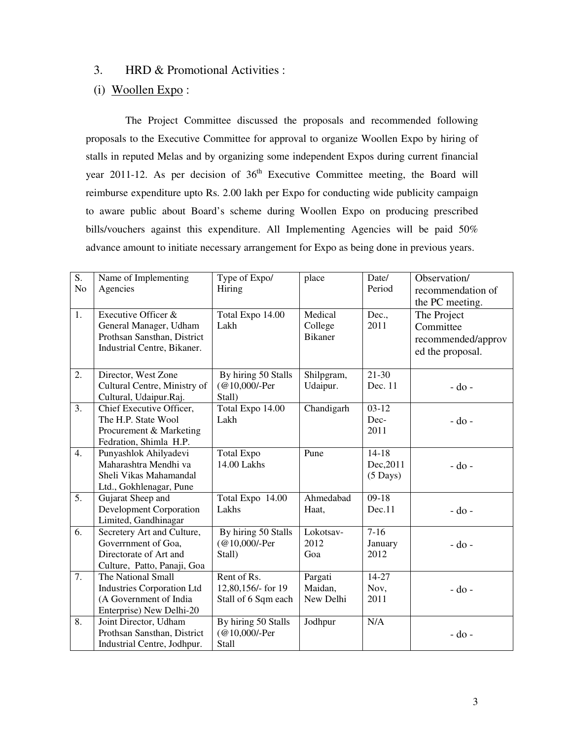#### 3. HRD & Promotional Activities :

### (i) Woollen Expo :

 The Project Committee discussed the proposals and recommended following proposals to the Executive Committee for approval to organize Woollen Expo by hiring of stalls in reputed Melas and by organizing some independent Expos during current financial year 2011-12. As per decision of  $36<sup>th</sup>$  Executive Committee meeting, the Board will reimburse expenditure upto Rs. 2.00 lakh per Expo for conducting wide publicity campaign to aware public about Board's scheme during Woollen Expo on producing prescribed bills/vouchers against this expenditure. All Implementing Agencies will be paid 50% advance amount to initiate necessary arrangement for Expo as being done in previous years.

| S.<br>N <sub>o</sub> | Name of Implementing<br>Agencies                                                                              | Type of Expo/<br>Hiring                                  | place                                | Date/<br>Period                            | Observation/<br>recommendation of<br>the PC meeting.               |
|----------------------|---------------------------------------------------------------------------------------------------------------|----------------------------------------------------------|--------------------------------------|--------------------------------------------|--------------------------------------------------------------------|
| 1.                   | Executive Officer &<br>General Manager, Udham<br>Prothsan Sansthan, District<br>Industrial Centre, Bikaner.   | Total Expo 14.00<br>Lakh                                 | Medical<br>College<br><b>Bikaner</b> | Dec.,<br>2011                              | The Project<br>Committee<br>recommended/approv<br>ed the proposal. |
| 2.                   | Director, West Zone<br>Cultural Centre, Ministry of<br>Cultural, Udaipur.Raj.                                 | By hiring 50 Stalls<br>(@10,000/-Per<br>Stall)           | Shilpgram,<br>Udaipur.               | $21 - 30$<br>Dec. 11                       | $-do$ -                                                            |
| 3.                   | Chief Executive Officer,<br>The H.P. State Wool<br>Procurement & Marketing<br>Fedration, Shimla H.P.          | Total Expo 14.00<br>Lakh                                 | Chandigarh                           | $03-12$<br>Dec-<br>2011                    | $-do$ -                                                            |
| 4.                   | Punyashlok Ahilyadevi<br>Maharashtra Mendhi va<br>Sheli Vikas Mahamandal<br>Ltd., Gokhlenagar, Pune           | <b>Total Expo</b><br>14.00 Lakhs                         | Pune                                 | $14-18$<br>Dec, 2011<br>$(5 \text{ Days})$ | $-do$ -                                                            |
| 5.                   | Gujarat Sheep and<br><b>Development Corporation</b><br>Limited, Gandhinagar                                   | Total Expo 14.00<br>Lakhs                                | Ahmedabad<br>Haat,                   | $09-18$<br>Dec.11                          | - do -                                                             |
| 6.                   | Secretery Art and Culture,<br>Government of Goa,<br>Directorate of Art and<br>Culture, Patto, Panaji, Goa     | By hiring 50 Stalls<br>(@10,000/-Per<br>Stall)           | Lokotsav-<br>2012<br>Goa             | $7-16$<br>January<br>2012                  | - do -                                                             |
| 7.                   | The National Small<br><b>Industries Corporation Ltd</b><br>(A Government of India<br>Enterprise) New Delhi-20 | Rent of Rs.<br>12,80,156/- for 19<br>Stall of 6 Sqm each | Pargati<br>Maidan,<br>New Delhi      | 14-27<br>Nov,<br>2011                      | - do -                                                             |
| 8.                   | Joint Director, Udham<br>Prothsan Sansthan, District<br>Industrial Centre, Jodhpur.                           | By hiring 50 Stalls<br>(@10,000/-Per<br><b>Stall</b>     | Jodhpur                              | N/A                                        | $-do$ -                                                            |